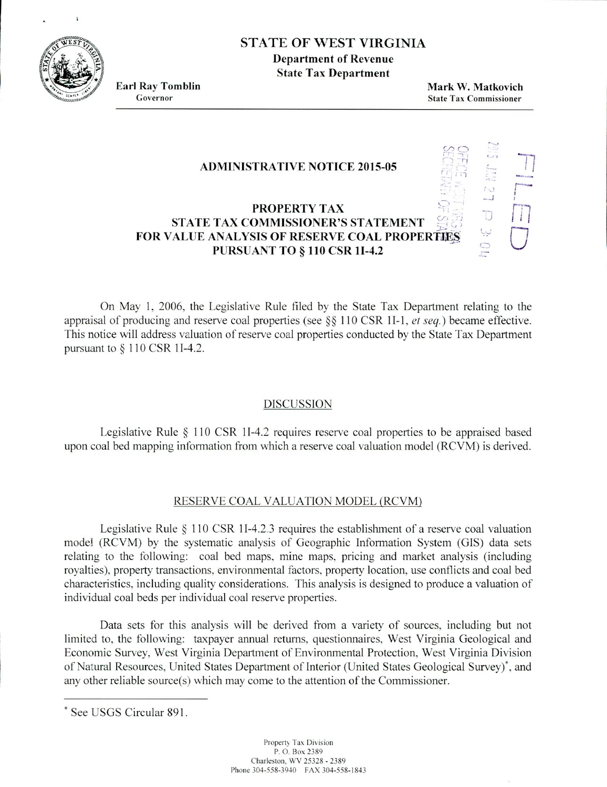

# STATE OF WEST VIRGINIA

**Department of Revenue State Tax Department**

**Earl Ray Tomblin**<br> **Earl Ray Tomblin**<br> **Earl Ray Tomblin**<br> **Mark W. Matkovich**<br> **Mark W. Matkovich**<br> **Mark W. Matkovich State Tax Commissioner** 

'.1

لببا

ii<br>U

 $\overline{\mathcal{D}}$  t

### **ADMINISTRATIVE NOTICE 2015-05**

## **PROPERTY TAX STATE TAX COMMISSIONER'S STATEMENT FOR VALUE ANALYSIS OF RESERVE COAL PROPERTIES PURSUANT TO** *§* **110 CSR 11-4.2**

On May 1, 2006. the Legislative Rule filed by the State Tax Department relating to the appraisal of producing and reserve coal properties (see §§ 110 CSR 1I-1, *et seq.*) became effective. This notice will address valuation of reserve coal properties conducted by the State Tax Department pursuant to *§* 110 CSR 11-4.2.

### DISCUSSION

Legislative Rule *§* 110 CSR 11-4.2 requires reserve coal properties to be appraised based upon coal bed mapping information from which a reserve coal valuation model (RCVM) is derived.

### RESERVE COAL VALUATION MODEL (RCVM)

Legislative Rule *§* 110 CSR 11-4.2.3 requires the establishment of a reserve coal valuation model (RCVM) by the systematic analysis of Geographic Information System (GIS) data sets relating to the following: coal bed maps, mine maps, pricing and market analysis (including royalties). property transactions. environmental factors, property location, use conflicts and coal bed characteristics, including quality considerations. This analysis is designed to produce a valuation of individual coal beds per individual coal reserve properties.

Data sets for this analysis will he derived from a variety of sources. including but not limited to, the following: taxpayer annual returns, questionnaires. West Virginia Geological and Economic Survey, West Virginia Department of Environmental Protection. West Virginia Division of Natural Resources. United States Department of Interior (United States Geological Survey)<sup>\*</sup>, and any other reliable source(s) which may come to the attention of the Commissioner.

<sup>\*</sup> See USGS Circular 891.